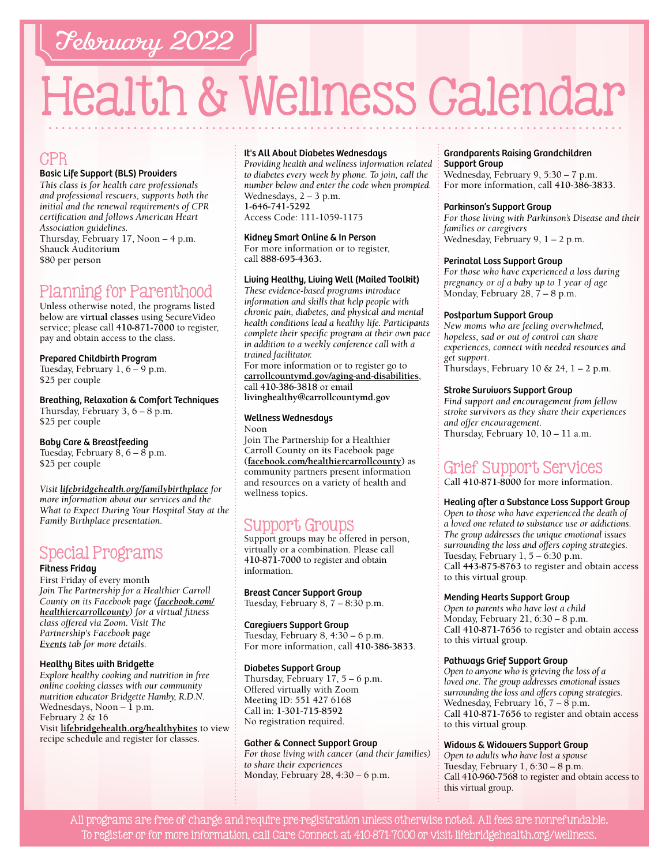# February 2022

# Health & Wellness Calendar

### CPR

#### Basic Life Support (BLS) Providers

*This class is for health care professionals and professional rescuers, supports both the initial and the renewal requirements of CPR certification and follows American Heart Association guidelines.*  Thursday, February 17, Noon – 4 p.m. Shauck Auditorium \$80 per person

# Planning for Parenthood

Unless otherwise noted, the programs listed below are **virtual classes** using SecureVideo service; please call **[410-871-7000](tel:4108717000)** to register, pay and obtain access to the class.

#### Prepared Childbirth Program

Tuesday, February 1, 6 – 9 p.m. \$25 per couple

Breathing, Relaxation & Comfort Techniques Thursday, February 3, 6 – 8 p.m. \$25 per couple

Baby Care & Breastfeeding Tuesday, February 8, 6 – 8 p.m. \$25 per couple

*Visit [lifebridgehealth.org/familybirthplace](http://www.lifebridgehealth.org/familybirthplace) for more information about our services and the What to Expect During Your Hospital Stay at the Family Birthplace presentation.*

# Special Programs

#### Fitness Friday

First Friday of every month *Join The Partnership for a Healthier Carroll County on its Facebook page [\(facebook.com/](https://www.facebook.com/HealthierCarrollCounty/) [healthiercarrollcounty\)](https://www.facebook.com/HealthierCarrollCounty/) for a virtual fitness class offered via Zoom. Visit The Partnership's Facebook page [Events](https://www.facebook.com/HealthierCarrollCounty/events/?ref=page_internal) tab for more details.*

#### Healthy Bites with Bridgette

*Explore healthy cooking and nutrition in free online cooking classes with our community nutrition educator Bridgette Hamby, R.D.N.* Wednesdays, Noon  $-1$  p.m. February 2 & 16 Visit **[lifebridgehealth.org/healthybites](https://www.lifebridgehealth.org/Carroll/HealthyBites.aspx)** to view recipe schedule and register for classes.

#### It's All About Diabetes Wednesdays

*Providing health and wellness information related to diabetes every week by phone. To join, call the number below and enter the code when prompted.* Wednesdays, 2 – 3 p.m. **[1-646-741-5292](tel:16467415292)**

Access Code: 111-1059-1175

#### Kidney Smart Online & In Person

For more information or to register, call **88[8-695-4](tel:8886954363)363.** 

#### Living Healthy, Living Well (Mailed Toolkit)

*These evidence-based programs introduce information and skills that help people with chronic pain, diabetes, and physical and mental health conditions lead a healthy life. Participants complete their specific program at their own pace in addition to a weekly conference call with a trained facilitator.*

For more information or to register go to **[carrollcountymd.gov/aging-and-disabilities](https://www.carrollcountymd.gov/aging-and-disabilities)**, call **[410-386-3818](tel:4103863818)** or email **[livinghealthy@carrollcountymd.gov](mailto:livinghealthy@carrollcountymd.gov)**

#### Wellness Wednesdays

Noon Join The Partnership for a Healthier Carroll County on its Facebook page **[\(facebook.com/healthiercarrollcounty\)](https://www.facebook.com/HealthierCarrollCounty/)** as community partners present information and resources on a variety of health and wellness topics.

## Support Groups

Support groups may be offered in person, virtually or a combination. Please call **[410-871-7000](tel:4108717000)** to register and obtain information.

Breast Cancer Support Group Tuesday, February 8, 7 – 8:30 p.m.

#### Caregivers Support Group

Tuesday, February 8, 4:30 – 6 p.m. For more information, call **[410-386-3833](tel:4103863833)**.

#### Diabetes Support Group

Thursday, February 17, 5 – 6 p.m. Offered virtually with Zoom Meeting ID: 551 427 6168 Call in: **[1-301-715-8592](tel:13017158592)** No registration required.

#### Gather & Connect Support Group

*For those living with cancer (and their families) to share their experiences*  Monday, February 28, 4:30 – 6 p.m.

#### Grandparents Raising Grandchildren Support Group

Wednesday, February 9, 5:30 – 7 p.m. For more information, call **[410-386-3833](tel:4103863833)**.

#### Parkinson's Support Group

*For those living with Parkinson's Disease and their families or caregivers*  Wednesday, February 9, 1 – 2 p.m.

#### Perinatal Loss Support Group

*For those who have experienced a loss during pregnancy or of a baby up to 1 year of age* Monday, February 28, 7 – 8 p.m.

#### Postpartum Support Group

*New moms who are feeling overwhelmed, hopeless, sad or out of control can share experiences, connect with needed resources and get support*. Thursdays, February 10 & 24,  $1 - 2$  p.m.

#### Stroke Survivors Support Group

*Find support and encouragement from fellow stroke survivors as they share their experiences and offer encouragement.*  Thursday, February 10, 10 – 11 a.m.

# Grief Support Services

Call **[410-871-8000](tel:4108718000)** for more information.

#### Healing after a Substance Loss Support Group

*Open to those who have experienced the death of a loved one related to substance use or addictions. The group addresses the unique emotional issues surrounding the loss and offers coping strategies.* Tuesday, February  $1, 5 - 6:30$  p.m. Call **[443-875-8763](tel:4438758763)** to register and obtain access to this virtual group.

#### Mending Hearts Support Group

*Open to parents who have lost a child* Monday, February 21, 6:30 – 8 p.m. Call **[410-871-7](tel:4108717656 )656** to register and obtain access to this virtual group.

#### Pathways Grief Support Group

*Open to anyone who is grieving the loss of a loved one. The group addresses emotional issues surrounding the loss and offers coping strategies.* Wednesday, February 16, 7 – 8 p.m. Call **[410-871-7656](tel:4108717656)** to register and obtain access to this virtual group.

#### Widows & Widowers Support Group

*Open to adults who have lost a spouse* Tuesday, February 1, 6:30 – 8 p.m. Call **[410-960-7568](tel:4109607568)** to register and obtain access to this virtual group.

All programs are free of charge and require pre-registration unless otherwise noted. All fees are nonrefundable. To register or for more information, call Care Connect at [410-871-7000](tel:4108717000) or visit [lifebridgehealth.org/wellness.](https://www.lifebridgehealth.org/Carroll/CarrollHospitalTevisCenterforWellness.aspx)